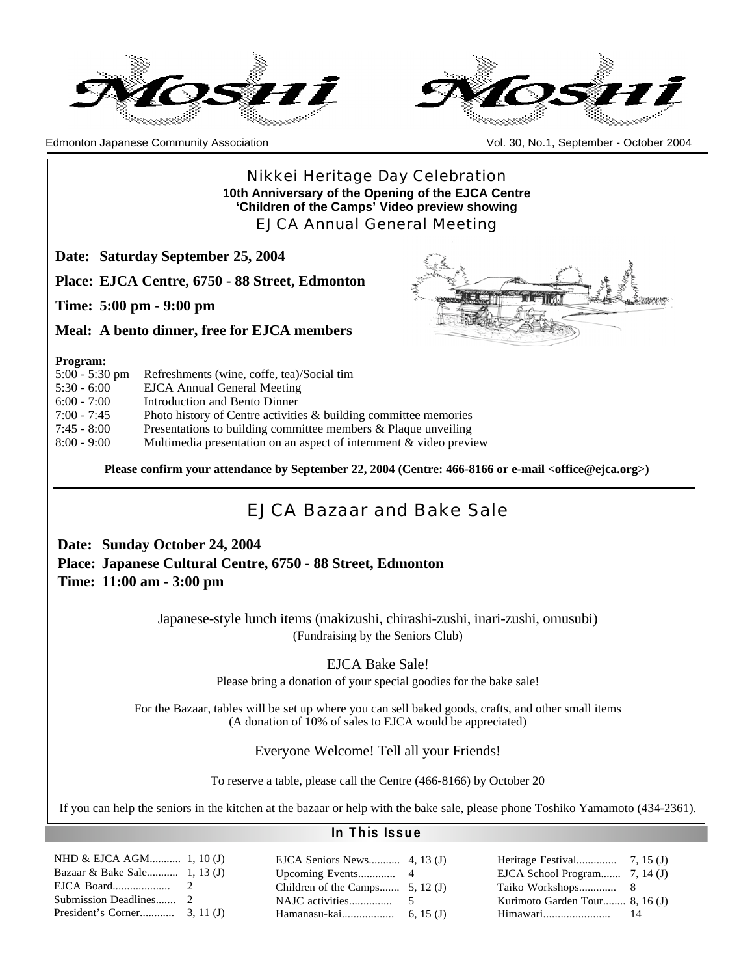



Edmonton Japanese Community Association Vol. 30, No.1, September - October 2004

### Nikkei Heritage Day Celebration **10th Anniversary of the Opening of the EJCA Centre 'Children of the Camps' Video preview showing** EJCA Annual General Meeting

**Date: Saturday September 25, 2004**

**Place: EJCA Centre, 6750 - 88 Street, Edmonton**

**Time: 5:00 pm - 9:00 pm**

**Meal: A bento dinner, free for EJCA members**

#### **Program:**

| $5:00 - 5:30$ pm | Refreshments (wine, coffe, tea)/Social tim                          |
|------------------|---------------------------------------------------------------------|
| $5:30 - 6:00$    | EJCA Annual General Meeting                                         |
| $6:00 - 7:00$    | Introduction and Bento Dinner                                       |
| $7:00 - 7:45$    | Photo history of Centre activities $\&$ building committee memories |
| $7:45 - 8:00$    | Presentations to building committee members $\&$ Plaque unveiling   |
| $8:00 - 9:00$    | Multimedia presentation on an aspect of internment & video preview  |

**Please confirm your attendance by September 22, 2004 (Centre: 466-8166 or e-mail <office@ejca.org>)**

### EJCA Bazaar and Bake Sale

**Date: Sunday October 24, 2004 Place: Japanese Cultural Centre, 6750 - 88 Street, Edmonton Time: 11:00 am - 3:00 pm**

> Japanese-style lunch items (makizushi, chirashi-zushi, inari-zushi, omusubi) (Fundraising by the Seniors Club)

> > EJCA Bake Sale!

Please bring a donation of your special goodies for the bake sale!

For the Bazaar, tables will be set up where you can sell baked goods, crafts, and other small items (A donation of 10% of sales to EJCA would be appreciated)

Everyone Welcome! Tell all your Friends!

To reserve a table, please call the Centre (466-8166) by October 20

If you can help the seniors in the kitchen at the bazaar or help with the bake sale, please phone Toshiko Yamamoto (434-2361).

| NHD & EJCA AGM 1, 10 (J)     |               |
|------------------------------|---------------|
| Bazaar & Bake Sale 1, 13 (J) |               |
| EJCA Board                   | $\mathcal{L}$ |
| Submission Deadlines 2       |               |
|                              |               |

### **In This Issue**

|                                   | EJCA School Program $7, 14$ (J) |  |
|-----------------------------------|---------------------------------|--|
| Children of the Camps $5, 12$ (J) |                                 |  |
|                                   | Kurimoto Garden Tour 8, 16 (J)  |  |
|                                   |                                 |  |

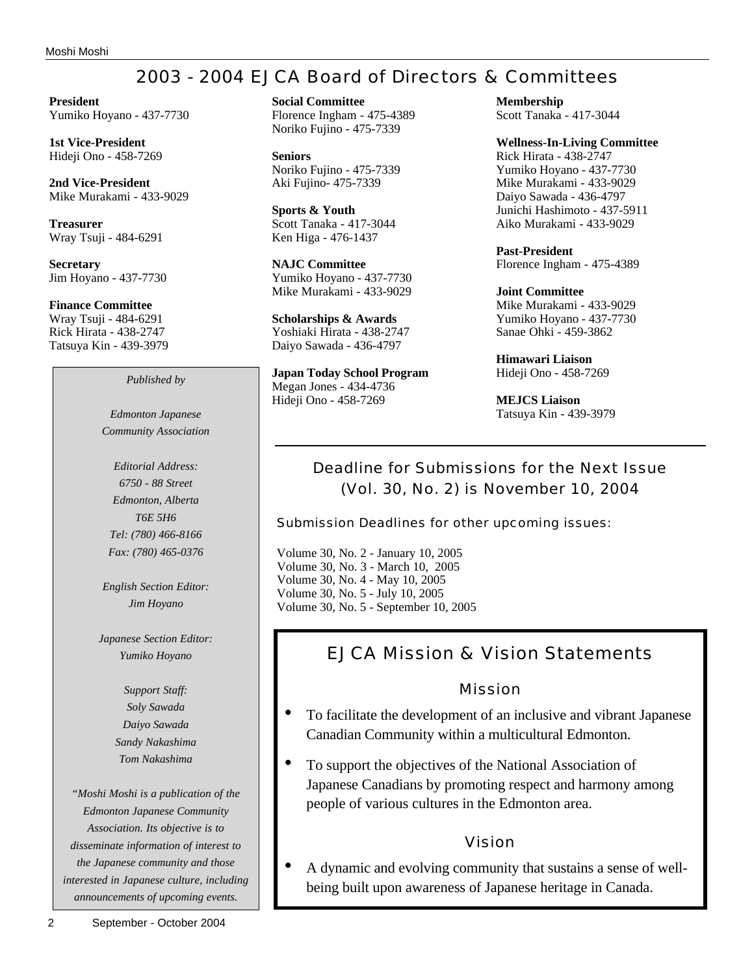# 2003 - 2004 EJCA Board of Directors & Committees

**President** Yumiko Hoyano - 437-7730

**1st Vice-President** Hideji Ono - 458-7269

**2nd Vice-President** Mike Murakami - 433-9029

**Treasurer** Wray Tsuji - 484-6291

**Secretary** Jim Hoyano - 437-7730

**Finance Committee** Wray Tsuji - 484-6291 Rick Hirata - 438-2747 Tatsuya Kin - 439-3979

*Published by*

*Edmonton Japanese Community Association*

*Editorial Address: 6750 - 88 Street Edmonton, Alberta T6E 5H6 Tel: (780) 466-8166 Fax: (780) 465-0376*

*English Section Editor: Jim Hoyano*

*Japanese Section Editor: Yumiko Hoyano*

> *Support Staff: Soly Sawada Daiyo Sawada Sandy Nakashima Tom Nakashima*

*"Moshi Moshi is a publication of the Edmonton Japanese Community Association. Its objective is to disseminate information of interest to the Japanese community and those interested in Japanese culture, including announcements of upcoming events.*

**Seniors** Noriko Fujino - 475-7339 Aki Fujino- 475-7339

**Sports & Youth** Scott Tanaka - 417-3044 Ken Higa - 476-1437

**NAJC Committee** Yumiko Hoyano - 437-7730 Mike Murakami - 433-9029

**Scholarships & Awards** Yoshiaki Hirata - 438-2747 Daiyo Sawada - 436-4797

**Japan Today School Program** Megan Jones - 434-4736 Hideji Ono - 458-7269

**Membership** Scott Tanaka - 417-3044

**Wellness-In-Living Committee** Rick Hirata - 438-2747 Yumiko Hoyano - 437-7730 Mike Murakami - 433-9029 Daiyo Sawada - 436-4797 Junichi Hashimoto - 437-5911 Aiko Murakami - 433-9029

**Past-President** Florence Ingham - 475-4389

**Joint Committee** Mike Murakami - 433-9029 Yumiko Hoyano - 437-7730 Sanae Ohki - 459-3862

**Himawari Liaison** Hideji Ono - 458-7269

**MEJCS Liaison** Tatsuya Kin - 439-3979

### Deadline for Submissions for the Next Issue (Vol. 30, No. 2) is November 10, 2004

Submission Deadlines for other upcoming issues:

Volume 30, No. 2 - January 10, 2005 Volume 30, No. 3 - March 10, 2005 Volume 30, No. 4 - May 10, 2005 Volume 30, No. 5 - July 10, 2005 Volume 30, No. 5 - September 10, 2005

# EJCA Mission & Vision Statements

### Mission

- To facilitate the development of an inclusive and vibrant Japanese Canadian Community within a multicultural Edmonton.
- To support the objectives of the National Association of Japanese Canadians by promoting respect and harmony among people of various cultures in the Edmonton area.

### Vision

• A dynamic and evolving community that sustains a sense of wellbeing built upon awareness of Japanese heritage in Canada.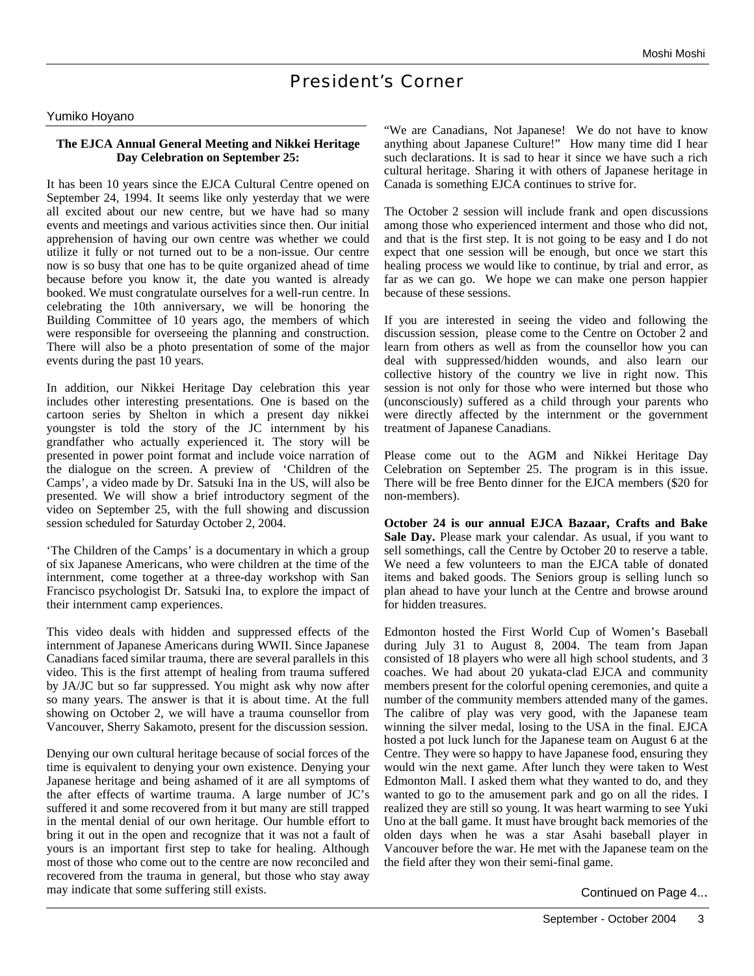### President's Corner

#### Yumiko Hoyano

#### **The EJCA Annual General Meeting and Nikkei Heritage Day Celebration on September 25:**

It has been 10 years since the EJCA Cultural Centre opened on September 24, 1994. It seems like only yesterday that we were all excited about our new centre, but we have had so many events and meetings and various activities since then. Our initial apprehension of having our own centre was whether we could utilize it fully or not turned out to be a non-issue. Our centre now is so busy that one has to be quite organized ahead of time because before you know it, the date you wanted is already booked. We must congratulate ourselves for a well-run centre. In celebrating the 10th anniversary, we will be honoring the Building Committee of 10 years ago, the members of which were responsible for overseeing the planning and construction. There will also be a photo presentation of some of the major events during the past 10 years.

In addition, our Nikkei Heritage Day celebration this year includes other interesting presentations. One is based on the cartoon series by Shelton in which a present day nikkei youngster is told the story of the JC internment by his grandfather who actually experienced it. The story will be presented in power point format and include voice narration of the dialogue on the screen. A preview of 'Children of the Camps', a video made by Dr. Satsuki Ina in the US, will also be presented. We will show a brief introductory segment of the video on September 25, with the full showing and discussion session scheduled for Saturday October 2, 2004.

'The Children of the Camps' is a documentary in which a group of six Japanese Americans, who were children at the time of the internment, come together at a three-day workshop with San Francisco psychologist Dr. Satsuki Ina, to explore the impact of their internment camp experiences.

This video deals with hidden and suppressed effects of the internment of Japanese Americans during WWII. Since Japanese Canadians faced similar trauma, there are several parallels in this video. This is the first attempt of healing from trauma suffered by JA/JC but so far suppressed. You might ask why now after so many years. The answer is that it is about time. At the full showing on October 2, we will have a trauma counsellor from Vancouver, Sherry Sakamoto, present for the discussion session.

Denying our own cultural heritage because of social forces of the time is equivalent to denying your own existence. Denying your Japanese heritage and being ashamed of it are all symptoms of the after effects of wartime trauma. A large number of JC's suffered it and some recovered from it but many are still trapped in the mental denial of our own heritage. Our humble effort to bring it out in the open and recognize that it was not a fault of yours is an important first step to take for healing. Although most of those who come out to the centre are now reconciled and recovered from the trauma in general, but those who stay away may indicate that some suffering still exists.

"We are Canadians, Not Japanese! We do not have to know anything about Japanese Culture!" How many time did I hear such declarations. It is sad to hear it since we have such a rich cultural heritage. Sharing it with others of Japanese heritage in Canada is something EJCA continues to strive for.

The October 2 session will include frank and open discussions among those who experienced interment and those who did not, and that is the first step. It is not going to be easy and I do not expect that one session will be enough, but once we start this healing process we would like to continue, by trial and error, as far as we can go. We hope we can make one person happier because of these sessions.

If you are interested in seeing the video and following the discussion session, please come to the Centre on October 2 and learn from others as well as from the counsellor how you can deal with suppressed/hidden wounds, and also learn our collective history of the country we live in right now. This session is not only for those who were interned but those who (unconsciously) suffered as a child through your parents who were directly affected by the internment or the government treatment of Japanese Canadians.

Please come out to the AGM and Nikkei Heritage Day Celebration on September 25. The program is in this issue. There will be free Bento dinner for the EJCA members (\$20 for non-members).

**October 24 is our annual EJCA Bazaar, Crafts and Bake Sale Day.** Please mark your calendar. As usual, if you want to sell somethings, call the Centre by October 20 to reserve a table. We need a few volunteers to man the EJCA table of donated items and baked goods. The Seniors group is selling lunch so plan ahead to have your lunch at the Centre and browse around for hidden treasures.

Edmonton hosted the First World Cup of Women's Baseball during July 31 to August 8, 2004. The team from Japan consisted of 18 players who were all high school students, and 3 coaches. We had about 20 yukata-clad EJCA and community members present for the colorful opening ceremonies, and quite a number of the community members attended many of the games. The calibre of play was very good, with the Japanese team winning the silver medal, losing to the USA in the final. EJCA hosted a pot luck lunch for the Japanese team on August 6 at the Centre. They were so happy to have Japanese food, ensuring they would win the next game. After lunch they were taken to West Edmonton Mall. I asked them what they wanted to do, and they wanted to go to the amusement park and go on all the rides. I realized they are still so young. It was heart warming to see Yuki Uno at the ball game. It must have brought back memories of the olden days when he was a star Asahi baseball player in Vancouver before the war. He met with the Japanese team on the the field after they won their semi-final game.

Continued on Page 4...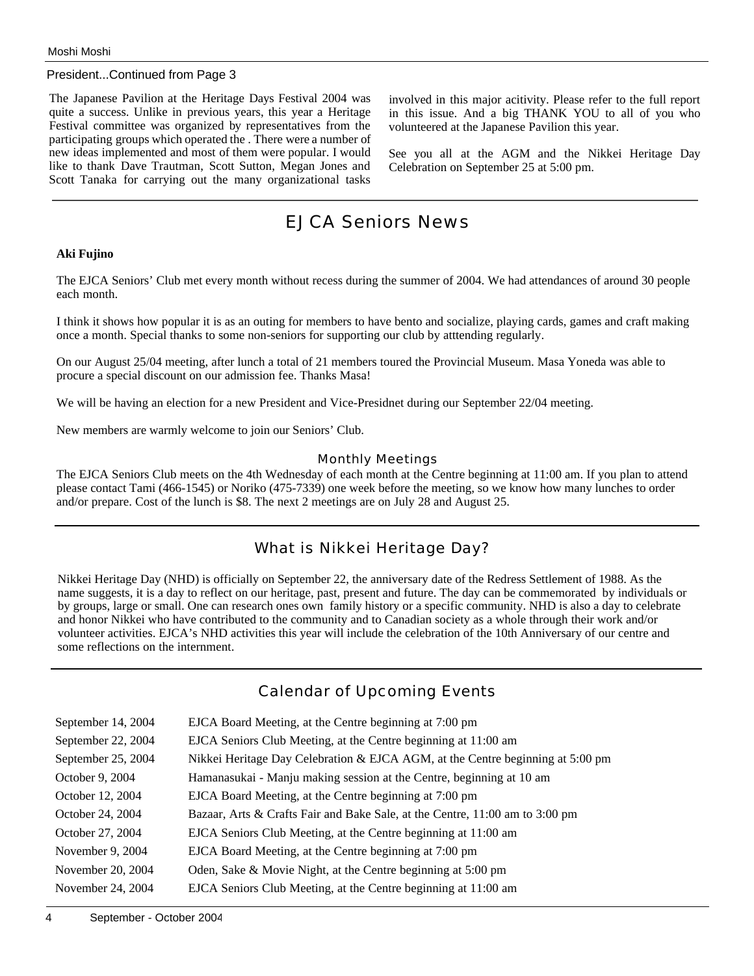#### President...Continued from Page 3

The Japanese Pavilion at the Heritage Days Festival 2004 was quite a success. Unlike in previous years, this year a Heritage Festival committee was organized by representatives from the participating groups which operated the . There were a number of new ideas implemented and most of them were popular. I would like to thank Dave Trautman, Scott Sutton, Megan Jones and Scott Tanaka for carrying out the many organizational tasks involved in this major acitivity. Please refer to the full report in this issue. And a big THANK YOU to all of you who volunteered at the Japanese Pavilion this year.

See you all at the AGM and the Nikkei Heritage Day Celebration on September 25 at 5:00 pm.

### EJCA Seniors News

#### **Aki Fujino**

The EJCA Seniors' Club met every month without recess during the summer of 2004. We had attendances of around 30 people each month.

I think it shows how popular it is as an outing for members to have bento and socialize, playing cards, games and craft making once a month. Special thanks to some non-seniors for supporting our club by atttending regularly.

On our August 25/04 meeting, after lunch a total of 21 members toured the Provincial Museum. Masa Yoneda was able to procure a special discount on our admission fee. Thanks Masa!

We will be having an election for a new President and Vice-Presidnet during our September 22/04 meeting.

New members are warmly welcome to join our Seniors' Club.

#### Monthly Meetings

The EJCA Seniors Club meets on the 4th Wednesday of each month at the Centre beginning at 11:00 am. If you plan to attend please contact Tami (466-1545) or Noriko (475-7339) one week before the meeting, so we know how many lunches to order and/or prepare. Cost of the lunch is \$8. The next 2 meetings are on July 28 and August 25.

### What is Nikkei Heritage Day?

Nikkei Heritage Day (NHD) is officially on September 22, the anniversary date of the Redress Settlement of 1988. As the name suggests, it is a day to reflect on our heritage, past, present and future. The day can be commemorated by individuals or by groups, large or small. One can research ones own family history or a specific community. NHD is also a day to celebrate and honor Nikkei who have contributed to the community and to Canadian society as a whole through their work and/or volunteer activities. EJCA's NHD activities this year will include the celebration of the 10th Anniversary of our centre and some reflections on the internment.

### Calendar of Upcoming Events

| September 14, 2004 | EJCA Board Meeting, at the Centre beginning at 7:00 pm                         |
|--------------------|--------------------------------------------------------------------------------|
| September 22, 2004 | EJCA Seniors Club Meeting, at the Centre beginning at 11:00 am                 |
| September 25, 2004 | Nikkei Heritage Day Celebration & EJCA AGM, at the Centre beginning at 5:00 pm |
| October 9, 2004    | Hamanasukai - Manju making session at the Centre, beginning at 10 am           |
| October 12, 2004   | EJCA Board Meeting, at the Centre beginning at 7:00 pm                         |
| October 24, 2004   | Bazaar, Arts & Crafts Fair and Bake Sale, at the Centre, 11:00 am to 3:00 pm   |
| October 27, 2004   | EJCA Seniors Club Meeting, at the Centre beginning at 11:00 am                 |
| November 9, 2004   | EJCA Board Meeting, at the Centre beginning at 7:00 pm                         |
| November 20, 2004  | Oden, Sake & Movie Night, at the Centre beginning at 5:00 pm                   |
| November 24, 2004  | EJCA Seniors Club Meeting, at the Centre beginning at 11:00 am                 |
|                    |                                                                                |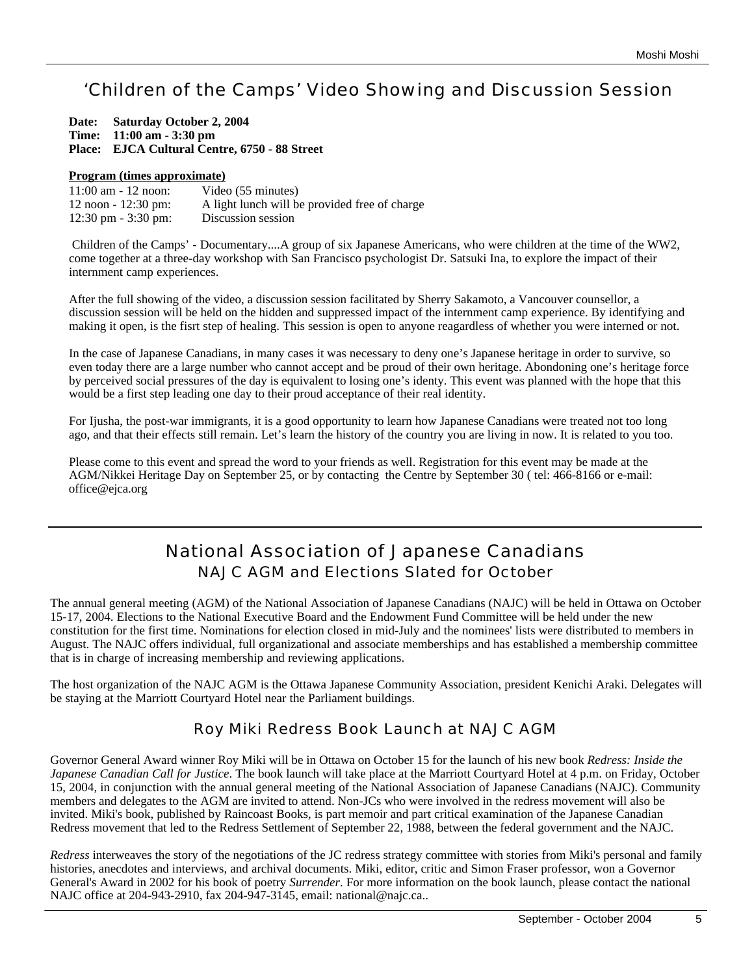# 'Children of the Camps' Video Showing and Discussion Session

| Date: Saturday October 2, 2004                |
|-----------------------------------------------|
| Time: $11:00 \text{ am } -3:30 \text{ pm}$    |
| Place: EJCA Cultural Centre, 6750 - 88 Street |

#### **Program (times approximate)**

| $11:00$ am $-12$ noon: | Video (55 minutes)                            |
|------------------------|-----------------------------------------------|
| 12 noon - 12:30 pm:    | A light lunch will be provided free of charge |
| 12:30 pm $-3:30$ pm:   | Discussion session                            |

Children of the Camps' - Documentary....A group of six Japanese Americans, who were children at the time of the WW2, come together at a three-day workshop with San Francisco psychologist Dr. Satsuki Ina, to explore the impact of their internment camp experiences.

After the full showing of the video, a discussion session facilitated by Sherry Sakamoto, a Vancouver counsellor, a discussion session will be held on the hidden and suppressed impact of the internment camp experience. By identifying and making it open, is the fisrt step of healing. This session is open to anyone reagardless of whether you were interned or not.

In the case of Japanese Canadians, in many cases it was necessary to deny one's Japanese heritage in order to survive, so even today there are a large number who cannot accept and be proud of their own heritage. Abondoning one's heritage force by perceived social pressures of the day is equivalent to losing one's identy. This event was planned with the hope that this would be a first step leading one day to their proud acceptance of their real identity.

For Ijusha, the post-war immigrants, it is a good opportunity to learn how Japanese Canadians were treated not too long ago, and that their effects still remain. Let's learn the history of the country you are living in now. It is related to you too.

Please come to this event and spread the word to your friends as well. Registration for this event may be made at the AGM/Nikkei Heritage Day on September 25, or by contacting the Centre by September 30 ( tel: 466-8166 or e-mail: office@ejca.org

### National Association of Japanese Canadians NAJC AGM and Elections Slated for October

The annual general meeting (AGM) of the National Association of Japanese Canadians (NAJC) will be held in Ottawa on October 15-17, 2004. Elections to the National Executive Board and the Endowment Fund Committee will be held under the new constitution for the first time. Nominations for election closed in mid-July and the nominees' lists were distributed to members in August. The NAJC offers individual, full organizational and associate memberships and has established a membership committee that is in charge of increasing membership and reviewing applications.

The host organization of the NAJC AGM is the Ottawa Japanese Community Association, president Kenichi Araki. Delegates will be staying at the Marriott Courtyard Hotel near the Parliament buildings.

### Roy Miki Redress Book Launch at NAJC AGM

Governor General Award winner Roy Miki will be in Ottawa on October 15 for the launch of his new book *Redress: Inside the Japanese Canadian Call for Justice*. The book launch will take place at the Marriott Courtyard Hotel at 4 p.m. on Friday, October 15, 2004, in conjunction with the annual general meeting of the National Association of Japanese Canadians (NAJC). Community members and delegates to the AGM are invited to attend. Non-JCs who were involved in the redress movement will also be invited. Miki's book, published by Raincoast Books, is part memoir and part critical examination of the Japanese Canadian Redress movement that led to the Redress Settlement of September 22, 1988, between the federal government and the NAJC.

*Redress* interweaves the story of the negotiations of the JC redress strategy committee with stories from Miki's personal and family histories, anecdotes and interviews, and archival documents. Miki, editor, critic and Simon Fraser professor, won a Governor General's Award in 2002 for his book of poetry *Surrender*. For more information on the book launch, please contact the national NAJC office at 204-943-2910, fax 204-947-3145, email: national@najc.ca..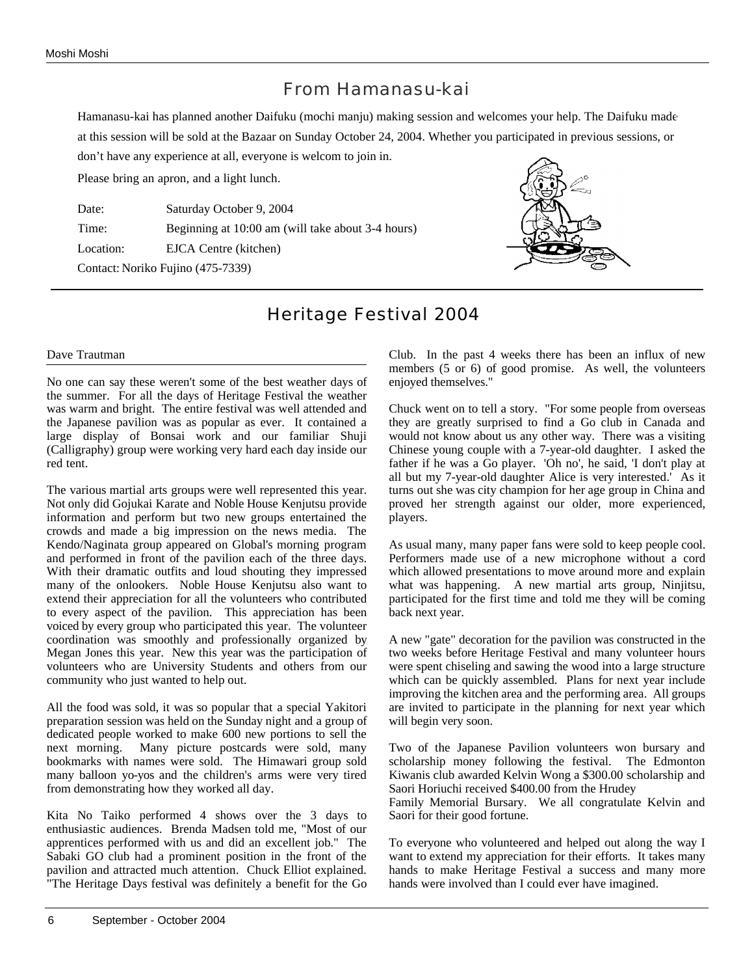### From Hamanasu-kai

Hamanasu-kai has planned another Daifuku (mochi manju) making session and welcomes your help. The Daifuku made at this session will be sold at the Bazaar on Sunday October 24, 2004. Whether you participated in previous sessions, or don't have any experience at all, everyone is welcom to join in.

Please bring an apron, and a light lunch.

Date: Saturday October 9, 2004 Time: Beginning at 10:00 am (will take about 3-4 hours) Location: EJCA Centre (kitchen) Contact: Noriko Fujino (475-7339)



### Heritage Festival 2004

#### Dave Trautman

No one can say these weren't some of the best weather days of the summer. For all the days of Heritage Festival the weather was warm and bright. The entire festival was well attended and the Japanese pavilion was as popular as ever. It contained a large display of Bonsai work and our familiar Shuji (Calligraphy) group were working very hard each day inside our red tent.

The various martial arts groups were well represented this year. Not only did Gojukai Karate and Noble House Kenjutsu provide information and perform but two new groups entertained the crowds and made a big impression on the news media. The Kendo/Naginata group appeared on Global's morning program and performed in front of the pavilion each of the three days. With their dramatic outfits and loud shouting they impressed many of the onlookers. Noble House Kenjutsu also want to extend their appreciation for all the volunteers who contributed to every aspect of the pavilion. This appreciation has been voiced by every group who participated this year. The volunteer coordination was smoothly and professionally organized by Megan Jones this year. New this year was the participation of volunteers who are University Students and others from our community who just wanted to help out.

All the food was sold, it was so popular that a special Yakitori preparation session was held on the Sunday night and a group of dedicated people worked to make 600 new portions to sell the next morning. Many picture postcards were sold, many bookmarks with names were sold. The Himawari group sold many balloon yo-yos and the children's arms were very tired from demonstrating how they worked all day.

Kita No Taiko performed 4 shows over the 3 days to enthusiastic audiences. Brenda Madsen told me, "Most of our apprentices performed with us and did an excellent job." The Sabaki GO club had a prominent position in the front of the pavilion and attracted much attention. Chuck Elliot explained. "The Heritage Days festival was definitely a benefit for the Go Club. In the past 4 weeks there has been an influx of new members (5 or 6) of good promise. As well, the volunteers enjoyed themselves."

Chuck went on to tell a story. "For some people from overseas they are greatly surprised to find a Go club in Canada and would not know about us any other way. There was a visiting Chinese young couple with a 7-year-old daughter. I asked the father if he was a Go player. 'Oh no', he said, 'I don't play at all but my 7-year-old daughter Alice is very interested.' As it turns out she was city champion for her age group in China and proved her strength against our older, more experienced, players.

As usual many, many paper fans were sold to keep people cool. Performers made use of a new microphone without a cord which allowed presentations to move around more and explain what was happening. A new martial arts group, Ninjitsu, participated for the first time and told me they will be coming back next year.

A new "gate" decoration for the pavilion was constructed in the two weeks before Heritage Festival and many volunteer hours were spent chiseling and sawing the wood into a large structure which can be quickly assembled. Plans for next year include improving the kitchen area and the performing area. All groups are invited to participate in the planning for next year which will begin very soon.

Two of the Japanese Pavilion volunteers won bursary and scholarship money following the festival. The Edmonton Kiwanis club awarded Kelvin Wong a \$300.00 scholarship and Saori Horiuchi received \$400.00 from the Hrudey

Family Memorial Bursary. We all congratulate Kelvin and Saori for their good fortune.

To everyone who volunteered and helped out along the way I want to extend my appreciation for their efforts. It takes many hands to make Heritage Festival a success and many more hands were involved than I could ever have imagined.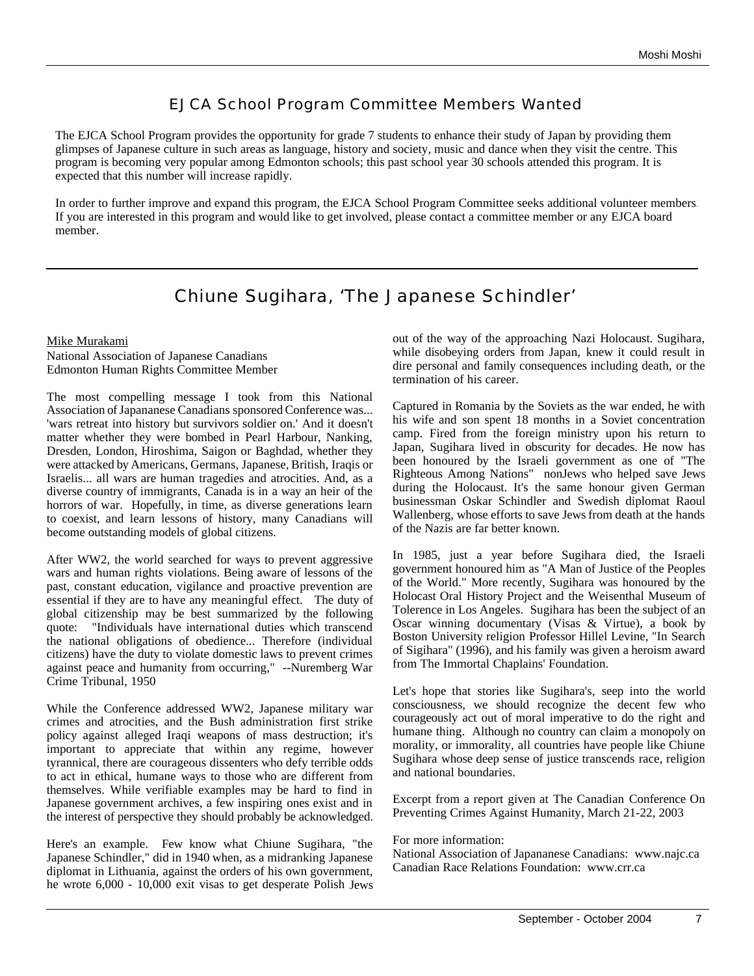### EJCA School Program Committee Members Wanted

The EJCA School Program provides the opportunity for grade 7 students to enhance their study of Japan by providing them glimpses of Japanese culture in such areas as language, history and society, music and dance when they visit the centre. This program is becoming very popular among Edmonton schools; this past school year 30 schools attended this program. It is expected that this number will increase rapidly.

In order to further improve and expand this program, the EJCA School Program Committee seeks additional volunteer members. If you are interested in this program and would like to get involved, please contact a committee member or any EJCA board member.

### Chiune Sugihara, 'The Japanese Schindler'

#### Mike Murakami

National Association of Japanese Canadians Edmonton Human Rights Committee Member

The most compelling message I took from this National Association of Japananese Canadians sponsored Conference was... 'wars retreat into history but survivors soldier on.' And it doesn't matter whether they were bombed in Pearl Harbour, Nanking, Dresden, London, Hiroshima, Saigon or Baghdad, whether they were attacked by Americans, Germans, Japanese, British, Iraqis or Israelis... all wars are human tragedies and atrocities. And, as a diverse country of immigrants, Canada is in a way an heir of the horrors of war. Hopefully, in time, as diverse generations learn to coexist, and learn lessons of history, many Canadians will become outstanding models of global citizens.

After WW2, the world searched for ways to prevent aggressive wars and human rights violations. Being aware of lessons of the past, constant education, vigilance and proactive prevention are essential if they are to have any meaningful effect. The duty of global citizenship may be best summarized by the following quote: "Individuals have international duties which transcend the national obligations of obedience... Therefore (individual citizens) have the duty to violate domestic laws to prevent crimes against peace and humanity from occurring," --Nuremberg War Crime Tribunal, 1950

While the Conference addressed WW2, Japanese military war crimes and atrocities, and the Bush administration first strike policy against alleged Iraqi weapons of mass destruction; it's important to appreciate that within any regime, however tyrannical, there are courageous dissenters who defy terrible odds to act in ethical, humane ways to those who are different from themselves. While verifiable examples may be hard to find in Japanese government archives, a few inspiring ones exist and in the interest of perspective they should probably be acknowledged.

Here's an example. Few know what Chiune Sugihara, "the Japanese Schindler," did in 1940 when, as a midranking Japanese diplomat in Lithuania, against the orders of his own government, he wrote 6,000 - 10,000 exit visas to get desperate Polish Jews out of the way of the approaching Nazi Holocaust. Sugihara, while disobeying orders from Japan, knew it could result in dire personal and family consequences including death, or the termination of his career.

Captured in Romania by the Soviets as the war ended, he with his wife and son spent 18 months in a Soviet concentration camp. Fired from the foreign ministry upon his return to Japan, Sugihara lived in obscurity for decades. He now has been honoured by the Israeli government as one of "The Righteous Among Nations" nonJews who helped save Jews during the Holocaust. It's the same honour given German businessman Oskar Schindler and Swedish diplomat Raoul Wallenberg, whose efforts to save Jews from death at the hands of the Nazis are far better known.

In 1985, just a year before Sugihara died, the Israeli government honoured him as "A Man of Justice of the Peoples of the World." More recently, Sugihara was honoured by the Holocast Oral History Project and the Weisenthal Museum of Tolerence in Los Angeles. Sugihara has been the subject of an Oscar winning documentary (Visas & Virtue), a book by Boston University religion Professor Hillel Levine, "In Search of Sigihara" (1996), and his family was given a heroism award from The Immortal Chaplains' Foundation.

Let's hope that stories like Sugihara's, seep into the world consciousness, we should recognize the decent few who courageously act out of moral imperative to do the right and humane thing. Although no country can claim a monopoly on morality, or immorality, all countries have people like Chiune Sugihara whose deep sense of justice transcends race, religion and national boundaries.

Excerpt from a report given at The Canadian Conference On Preventing Crimes Against Humanity, March 21-22, 2003

#### For more information:

National Association of Japananese Canadians: www.najc.ca Canadian Race Relations Foundation: www.crr.ca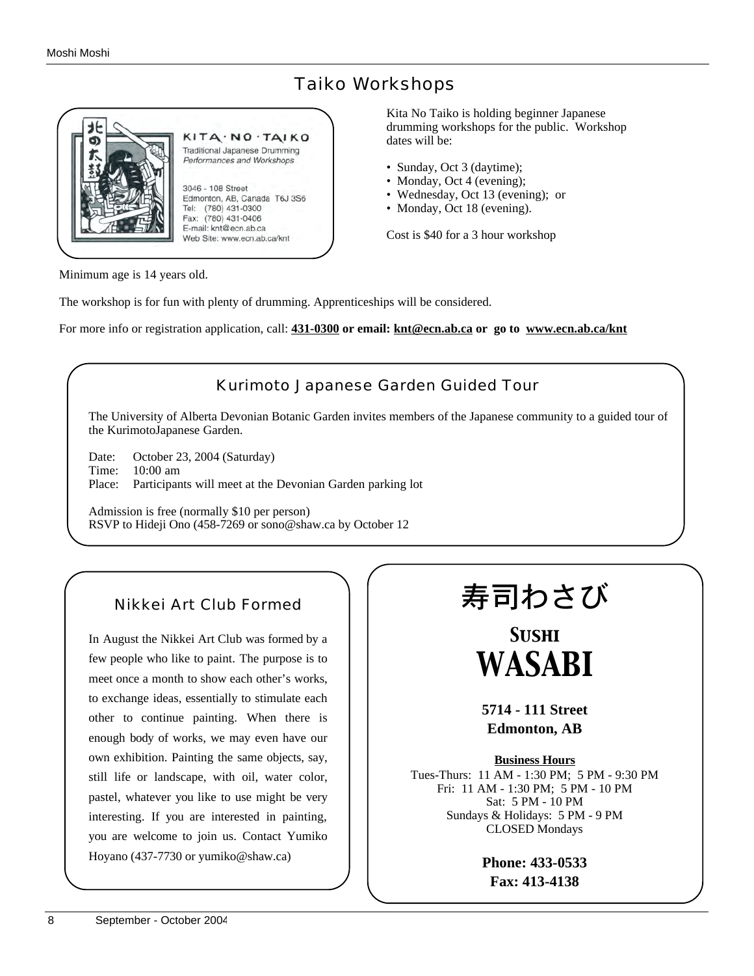### Taiko Workshops



Kita No Taiko is holding beginner Japanese drumming workshops for the public. Workshop dates will be:

- Sunday, Oct 3 (daytime);
- Monday, Oct 4 (evening);
- Wednesday, Oct 13 (evening); or
- Monday, Oct 18 (evening).

Cost is \$40 for a 3 hour workshop

Minimum age is 14 years old.

The workshop is for fun with plenty of drumming. Apprenticeships will be considered.

For more info or registration application, call: **431-0300 or email: knt@ecn.ab.ca or go to www.ecn.ab.ca/knt**



In August the Nikkei Art Club was formed by a few people who like to paint. The purpose is to meet once a month to show each other's works, to exchange ideas, essentially to stimulate each other to continue painting. When there is enough body of works, we may even have our own exhibition. Painting the same objects, say, still life or landscape, with oil, water color, pastel, whatever you like to use might be very interesting. If you are interested in painting, you are welcome to join us. Contact Yumiko Hoyano (437-7730 or yumiko@shaw.ca)

Nikkei Art Club Formed

# 寿司わさび

*Sushi WASABI*

**5714 - 111 Street Edmonton, AB**

**Business Hours**

Tues-Thurs: 11 AM - 1:30 PM; 5 PM - 9:30 PM Fri: 11 AM - 1:30 PM; 5 PM - 10 PM Sat: 5 PM - 10 PM Sundays & Holidays: 5 PM - 9 PM CLOSED Mondays

> **Phone: 433-0533 Fax: 413-4138**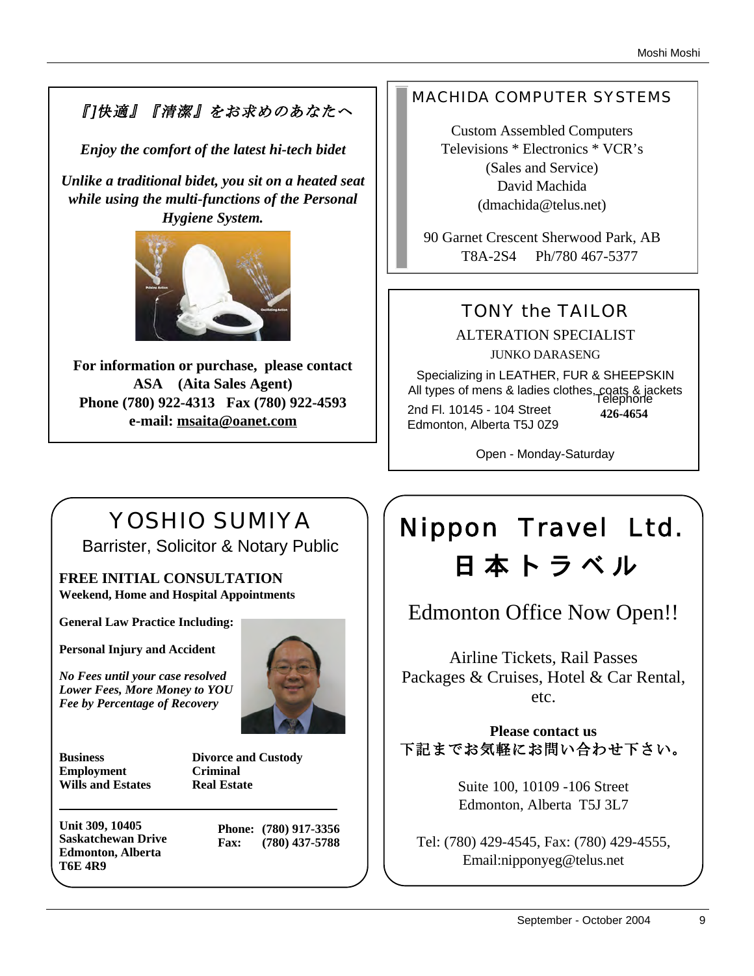# 『]快適』『清潔』をお求めのあなたへ

*Enjoy the comfort of the latest hi-tech bidet*

*Unlike a traditional bidet, you sit on a heated seat while using the multi-functions of the Personal Hygiene System.* 



**For information or purchase, please contact ASA (Aita Sales Agent) Phone (780) 922-4313 Fax (780) 922-4593 e-mail: msaita@oanet.com**

## MACHIDA COMPUTER SYSTEMS

Custom Assembled Computers Televisions \* Electronics \* VCR's (Sales and Service) David Machida (dmachida@telus.net)

90 Garnet Crescent Sherwood Park, AB T8A-2S4 Ph/780 467-5377

# TONY the TAILOR

ALTERATION SPECIALIST JUNKO DARASENG

Specializing in LEATHER, FUR & SHEEPSKIN All types of mens & ladies clothes, coats & jackets Telephone 2nd Fl. 10145 - 104 Street Edmonton, Alberta T5J 0Z9 **426-4654**

Open - Monday-Saturday

# YOSHIO SUMIYA

Barrister, Solicitor & Notary Public

**FREE INITIAL CONSULTATION Weekend, Home and Hospital Appointments**

**General Law Practice Including:**

**Personal Injury and Accident**

*No Fees until your case resolved Lower Fees, More Money to YOU Fee by Percentage of Recovery*



**Business Divorce and Custody Employment Criminal Wills and Estates Real Estate**

**Unit 309, 10405 Saskatchewan Drive Edmonton, Alberta T6E 4R9**

**Phone: (780) 917-3356 Fax: (780) 437-5788**

# Nippon Travel Ltd. 日 本 ト ラ ベ ル

Edmonton Office Now Open!!

Airline Tickets, Rail Passes Packages & Cruises, Hotel & Car Rental, etc.

### **Please contact us** 下記までお気軽にお問い合わせ下さい。

Suite 100, 10109 -106 Street Edmonton, Alberta T5J 3L7

Tel: (780) 429-4545, Fax: (780) 429-4555, Email:nipponyeg@telus.net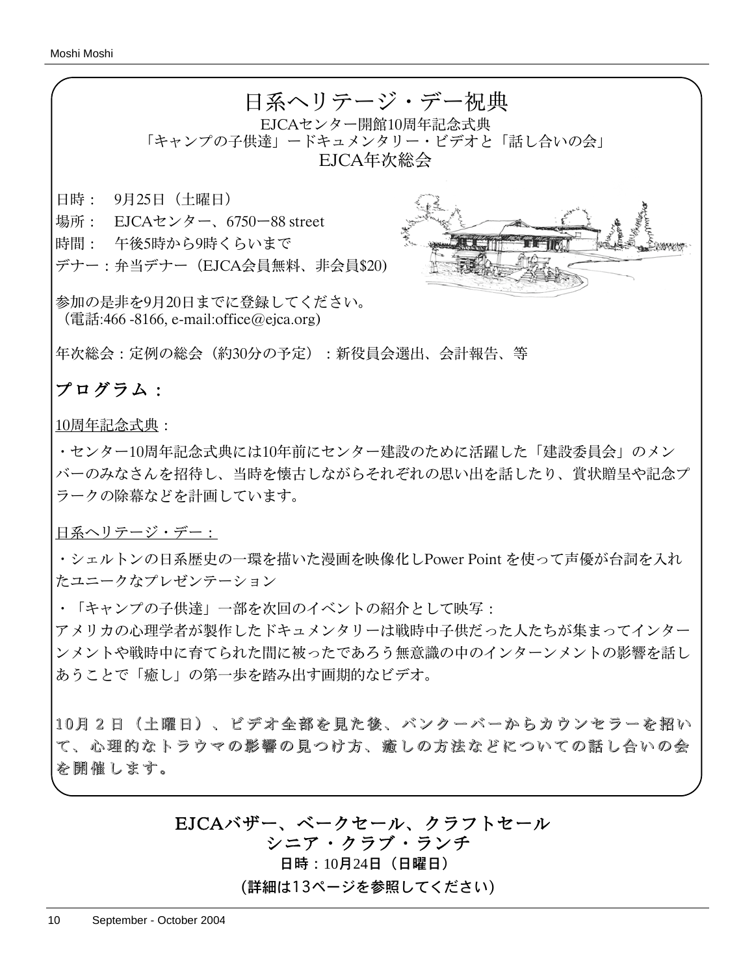

年次総会:定例の総会(約30分の予定):新役員会選出、会計報告、等

## プログラム:

10周年記念式典:

・センター10周年記念式典には10年前にセンター建設のために活躍した「建設委員会」のメン バーのみなさんを招待し、当時を懐古しながらそれぞれの思い出を話したり、賞状贈呈や記念プ ラークの除幕などを計画しています。

日系ヘリテージ・デー:

・シェルトンの日系歴史の一環を描いた漫画を映像化しPower Point を使って声優が台詞を入れ たユニークなプレゼンテーション

・「キャンプの子供達」一部を次回のイベントの紹介として映写:

アメリカの心理学者が製作したドキュメンタリーは戦時中子供だった人たちが集まってインター ンメントや戦時中に育てられた間に被ったであろう無意識の中のインターンメントの影響を話し あうことで「癒し」の第一歩を踏み出す画期的なビデオ。

10月2日(土曜日)、ビデオ全部を見た後、バンクーバーからカウンセラーを招い て、心理的なトラウマの影響の見つけ方、癒しの方法などについての話し合いの会 を開催します。

## EJCAバザー、ベークセール、クラフトセール

シニア・クラブ・ランチ

日時:10月24日(日曜日)

(詳細は13ページを参照してください)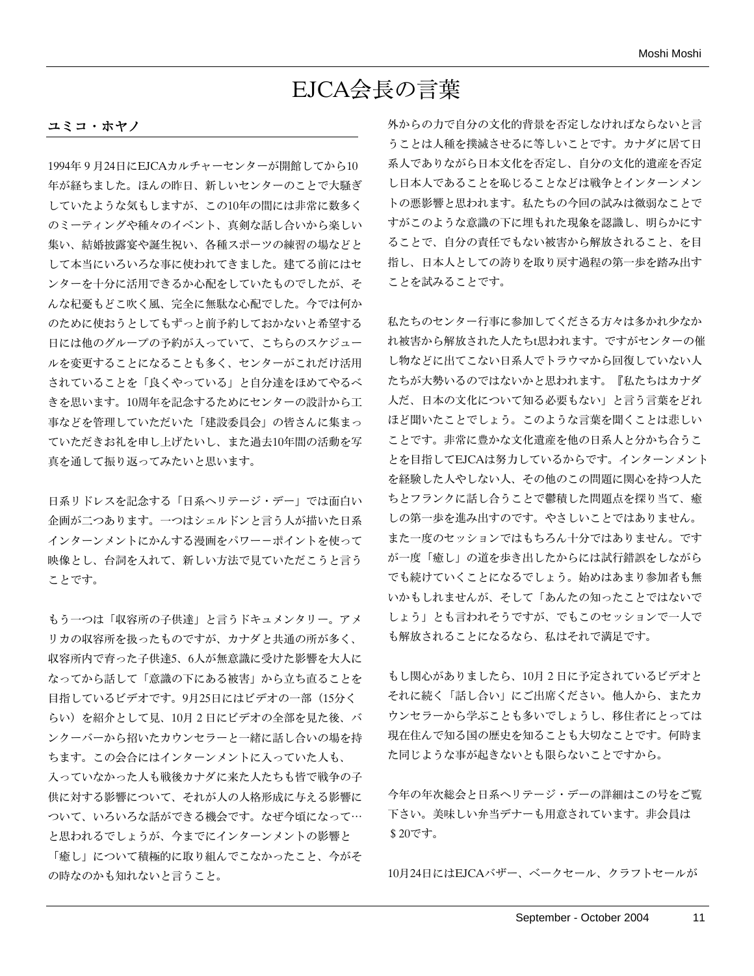# EJCA会長の言葉

#### ユミコ・ホヤノ

1994年9月24日にEJCAカルチャーセンターが開館してから10 年が経ちました。ほんの昨日、新しいセンターのことで大騒ぎ していたような気もしますが、この10年の間には非常に数多く のミーティングや種々のイベント、真剣な話し合いから楽しい 集い、結婚披露宴や誕生祝い、各種スポーツの練習の場などと して本当にいろいろな事に使われてきました。建てる前にはセ ンターを十分に活用できるか心配をしていたものでしたが、そ んな杞憂もどこ吹く風、完全に無駄な心配でした。今では何か のために使おうとしてもずっと前予約しておかないと希望する 日には他のグループの予約が入っていて、こちらのスケジュー ルを変更することになることも多く、センターがこれだけ活用 されていることを「良くやっている」と自分達をほめてやるべ きを思います。10周年を記念するためにセンターの設計から工 事などを管理していただいた「建設委員会」の皆さんに集まっ ていただきお礼を申し上げたいし、また過去10年間の活動を写 真を通して振り返ってみたいと思います。

日系リドレスを記念する「日系ヘリテージ・デー」では面白い 企画が二つあります。一つはシェルドンと言う人が描いた日系 インターンメントにかんする漫画をパワー-ポイントを使って 映像とし、台詞を入れて、新しい方法で見ていただこうと言う ことです。

もう一つは「収容所の子供達」と言うドキュメンタリー。アメ リカの収容所を扱ったものですが、カナダと共通の所が多く、 収容所内で育った子供達5、6人が無意識に受けた影響を大人に なってから話して「意識の下にある被害」から立ち直ることを 目指しているビデオです。9月25日にはビデオの一部(15分く らい)を紹介として見、10月2日にビデオの全部を見た後、バ ンクーバーから招いたカウンセラーと一緒に話し合いの場を持 ちます。この会合にはインターンメントに入っていた人も、 入っていなかった人も戦後カナダに来た人たちも皆で戦争の子 供に対する影響について、それが人の人格形成に与える影響に ついて、いろいろな話ができる機会です。なぜ今頃になって⋯ と思われるでしょうが、今までにインターンメントの影響と 「癒し」について積極的に取り組んでこなかったこと、今がそ の時なのかも知れないと言うこと。

外からの力で自分の文化的背景を否定しなければならないと言 うことは人種を撲滅させるに等しいことです。カナダに居て日 系人でありながら日本文化を否定し、自分の文化的遺産を否定 し日本人であることを恥じることなどは戦争とインターンメン トの悪影響と思われます。私たちの今回の試みは微弱なことで すがこのような意識の下に埋もれた現象を認識し、明らかにす ることで、自分の責任でもない被害から解放されること、を目 指し、日本人としての誇りを取り戻す過程の第一歩を踏み出す ことを試みることです。

私たちのセンター行事に参加してくださる方々は多かれ少なか れ被害から解放された人たちt思われます。ですがセンターの催 し物などに出てこない日系人でトラウマから回復していない人 たちが大勢いるのではないかと思われます。『私たちはカナダ 人だ、日本の文化について知る必要もない」と言う言葉をどれ ほど聞いたことでしょう。このような言葉を聞くことは悲しい ことです。非常に豊かな文化遺産を他の日系人と分かち合うこ とを目指してEJCAは努力しているからです。インターンメント を経験した人やしない人、その他のこの問題に関心を持つ人た ちとフランクに話し合うことで鬱積した問題点を探り当て、癒 しの第一歩を進み出すのです。やさしいことではありません。 また一度のセッションではもちろん十分ではありません。です が一度「癒し」の道を歩き出したからには試行錯誤をしながら でも続けていくことになるでしょう。始めはあまり参加者も無 いかもしれませんが、そして「あんたの知ったことではないで しょう」とも言われそうですが、でもこのセッションで一人で も解放されることになるなら、私はそれで満足です。

もし関心がありましたら、10月2日に予定されているビデオと それに続く「話し合い」にご出席ください。他人から、またカ ウンセラーから学ぶことも多いでしょうし、移住者にとっては 現在住んで知る国の歴史を知ることも大切なことです。何時ま た同じような事が起きないとも限らないことですから。

今年の年次総会と日系ヘリテージ・デーの詳細はこの号をご覧 下さい。美味しい弁当デナーも用意されています。非会員は \$20です。

10月24日にはEJCAバザー、ベークセール、クラフトセールが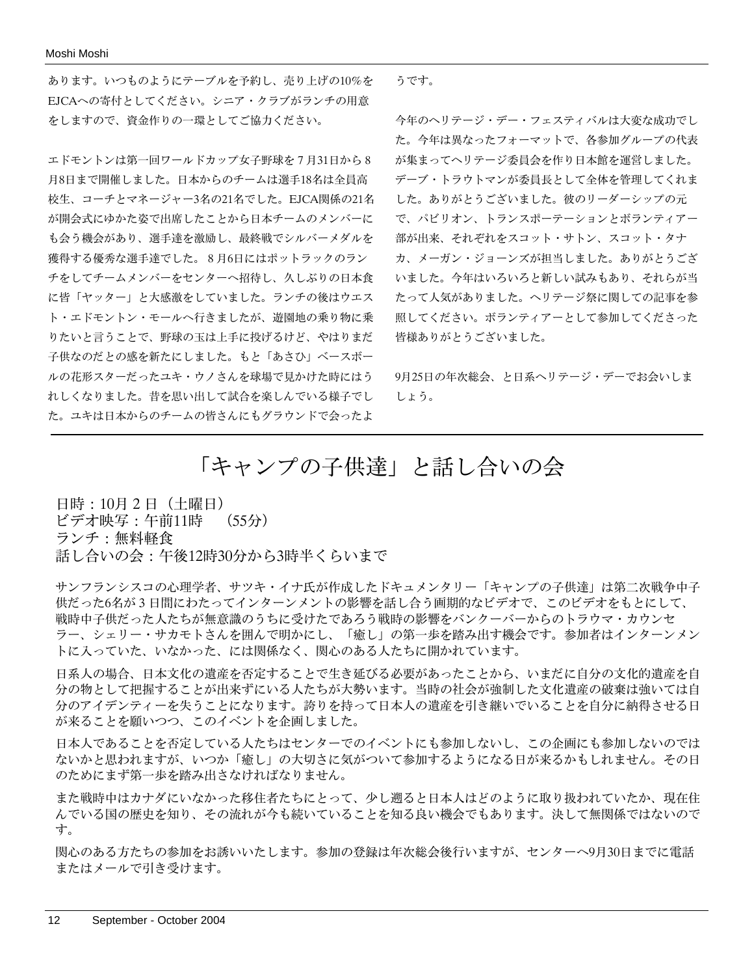あります。いつものようにテーブルを予約し、売り上げの10%を EJCAへの寄付としてください。シニア・クラブがランチの用意 をしますので、資金作りの一環としてご協力ください。

エドモントンは第一回ワールドカップ女子野球を7月31日から8 月8日まで開催しました。日本からのチームは選手18名は全員高 校生、コーチとマネージャー3名の21名でした。EJCA関係の21名 が開会式にゆかた姿で出席したことから日本チームのメンバーに も会う機会があり、選手達を激励し、最終戦でシルバーメダルを 獲得する優秀な選手達でした。8月6日にはポットラックのラン チをしてチームメンバーをセンターへ招待し、久しぶりの日本食 に皆「ヤッター」と大感激をしていました。ランチの後はウエス ト・エドモントン・モールへ行きましたが、遊園地の乗り物に乗 りたいと言うことで、野球の玉は上手に投げるけど、やはりまだ 子供なのだとの感を新たにしました。もと「あさひ」ベースボー ルの花形スターだったユキ・ウノさんを球場で見かけた時にはう れしくなりました。昔を思い出して試合を楽しんでいる様子でし た。ユキは日本からのチームの皆さんにもグラウンドで会ったよ

うです。

今年のヘリテージ・デー・フェスティバルは大変な成功でし た。今年は異なったフォーマットで、各参加グループの代表 が集まってヘリテージ委員会を作り日本館を運営しました。 デーブ・トラウトマンが委員長として全体を管理してくれま した。ありがとうございました。彼のリーダーシップの元 で、パビリオン、トランスポーテーションとボランティアー 部が出来、それぞれをスコット・サトン、スコット・タナ カ、メーガン・ジョーンズが担当しました。ありがとうござ いました。今年はいろいろと新しい試みもあり、それらが当 たって人気がありました。ヘリテージ祭に関しての記事を参 照してください。ボランティアーとして参加してくださった 皆様ありがとうございました。

9月25日の年次総会、と日系ヘリテージ・デーでお会いしま しょう。

# 「キャンプの子供達」と話し合いの会

日時:10月2日(土曜日) ビデオ映写:午前11時 (55分) ランチ:無料軽食 話し合いの会:午後12時30分から3時半くらいまで

サンフランシスコの心理学者、サツキ・イナ氏が作成したドキュメンタリー「キャンプの子供達」は第二次戦争中子 供だった6名が3日間にわたってインターンメントの影響を話し合う画期的なビデオで、このビデオをもとにして、 戦時中子供だった人たちが無意識のうちに受けたであろう戦時の影響をバンクーバーからのトラウマ・カウンセ ラー、シェリー・サカモトさんを囲んで明かにし、「癒し」の第一歩を踏み出す機会です。参加者はインターンメン トに入っていた、いなかった、には関係なく、関心のある人たちに開かれています。

日系人の場合、日本文化の遺産を否定することで生き延びる必要があったことから、いまだに自分の文化的遺産を自 分の物として把握することが出来ずにいる人たちが大勢います。当時の社会が強制した文化遺産の破棄は強いては自 分のアイデンティーを失うことになります。誇りを持って日本人の遺産を引き継いでいることを自分に納得させる日 が来ることを願いつつ、このイベントを企画しました。

日本人であることを否定している人たちはセンターでのイベントにも参加しないし、この企画にも参加しないのでは ないかと思われますが、いつか「癒し」の大切さに気がついて参加するようになる日が来るかもしれません。その日 のためにまず第一歩を踏み出さなければなりません。

また戦時中はカナダにいなかった移住者たちにとって、少し遡ると日本人はどのように取り扱われていたか、現在住 んでいる国の歴史を知り、その流れが今も続いていることを知る良い機会でもあります。決して無関係ではないので す。

関心のある方たちの参加をお誘いいたします。参加の登録は年次総会後行いますが、センターへ9月30日までに電話 またはメールで引き受けます。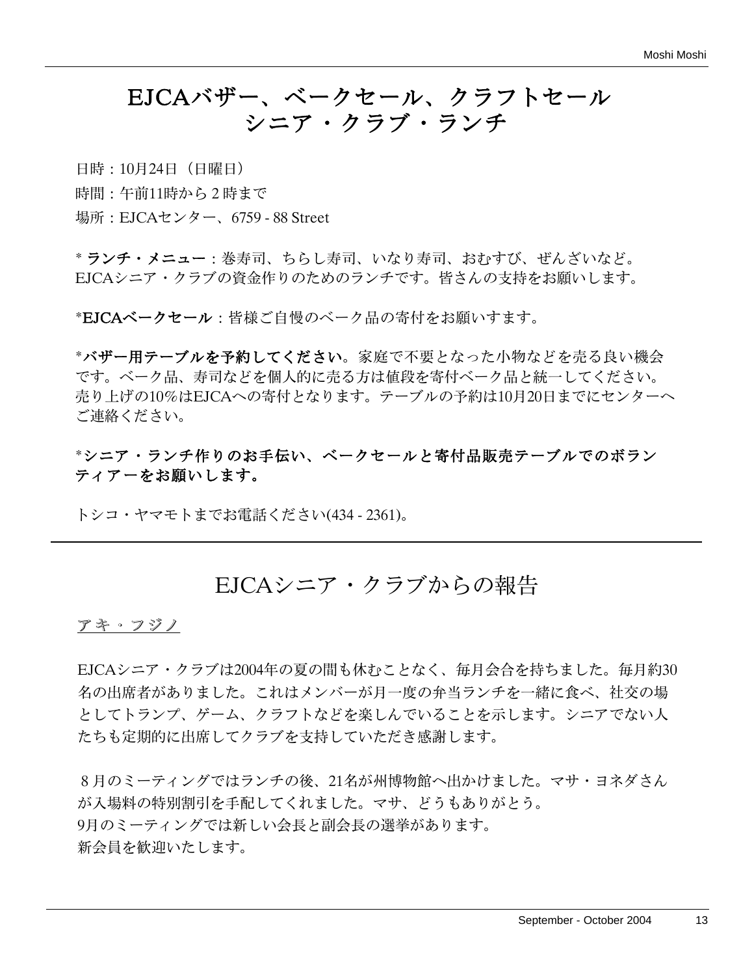# EJCAバザー、ベークセール、クラフトセール シニア・クラブ・ランチ

日時:10月24日(日曜日)

時間:午前11時から2時まで

場所:EJCAセンター、6759 - 88 Street

\* ランチ・メニュー:巻寿司、ちらし寿司、いなり寿司、おむすび、ぜんざいなど。 EJCAシニア・クラブの資金作りのためのランチです。皆さんの支持をお願いします。

\*EJCAベークセール:皆様ご自慢のベーク品の寄付をお願いすます。

\*バザー用テーブルを予約してください。家庭で不要となった小物などを売る良い機会 です。ベーク品、寿司などを個人的に売る方は値段を寄付ベーク品と統一してください。 売り上げの10%はEJCAへの寄付となります。テーブルの予約は10月20日までにセンターへ ご連絡ください。

\*シニア・ランチ作りのお手伝い、ベークセールと寄付品販売テーブルでのボラン ティアーをお願いします。

トシコ・ヤマモトまでお電話ください(434 - 2361)。

## EJCAシニア・クラブからの報告

#### アキ・フジノ

EJCAシニア・クラブは2004年の夏の間も休むことなく、毎月会合を持ちました。毎月約30 名の出席者がありました。これはメンバーが月一度の弁当ランチを一緒に食べ、社交の場 としてトランプ、ゲーム、クラフトなどを楽しんでいることを示します。シニアでない人 たちも定期的に出席してクラブを支持していただき感謝します。

8月のミーティングではランチの後、21名が州博物館へ出かけました。マサ・ヨネダさん が入場料の特別割引を手配してくれました。マサ、どうもありがとう。 9月のミーティングでは新しい会長と副会長の選挙があります。 新会員を歓迎いたします。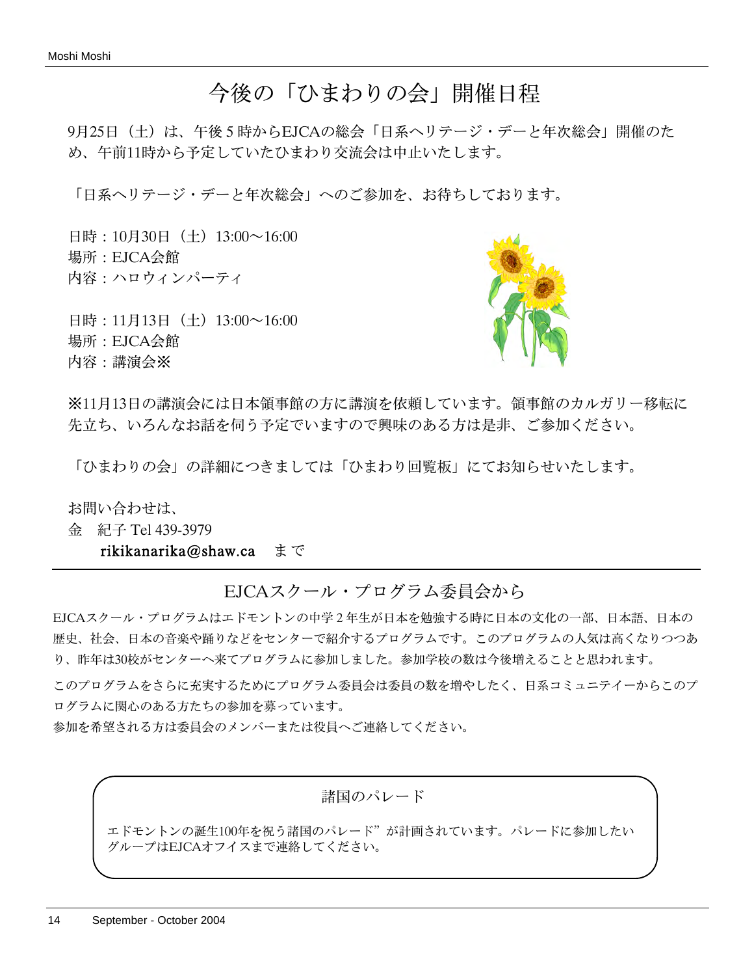# 今後の「ひまわりの会」開催日程

9月25日(土)は、午後5時からEJCAの総会「日系ヘリテージ・デーと年次総会」開催のた め、午前11時から予定していたひまわり交流会は中止いたします。

「日系ヘリテージ・デーと年次総会」へのご参加を、お待ちしております。

日時:10月30日 (土) 13:00~16:00 場所:EJCA会館 内容:ハロウィンパーティ

日時: 11月13日 (土) 13:00~16:00 場所:EJCA会館 内容:講演会※



※11月13日の講演会には日本領事館の方に講演を依頼しています。領事館のカルガリー移転に 先立ち、いろんなお話を伺う予定でいますので興味のある方は是非、ご参加ください。

「ひまわりの会」の詳細につきましては「ひまわり回覧板」にてお知らせいたします。

お問い合わせは、

金 紀子 Tel 439-3979

rikikanarika@shaw.ca まで

EJCAスクール・プログラム委員会から

EJCAスクール・プログラムはエドモントンの中学2年生が日本を勉強する時に日本の文化の一部、日本語、日本の 歴史、社会、日本の音楽や踊りなどをセンターで紹介するプログラムです。このプログラムの人気は高くなりつつあ り、昨年は30校がセンターへ来てプログラムに参加しました。参加学校の数は今後増えることと思われます。

このプログラムをさらに充実するためにプログラム委員会は委員の数を増やしたく、日系コミュニテイーからこのプ ログラムに関心のある方たちの参加を募っています。

参加を希望される方は委員会のメンバーまたは役員へご連絡してください。

諸国のパレード

エドモントンの誕生100年を祝う諸国のパレード"が計画されています。パレードに参加したい -プはEJCAオフイスまで連絡してください。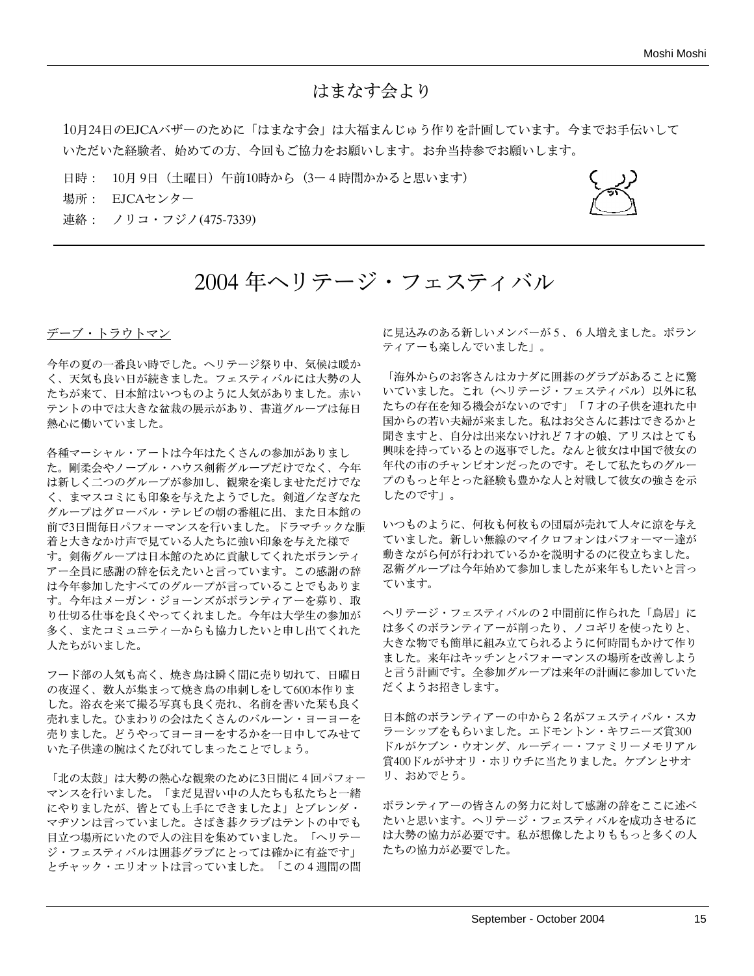### はまなす会より

10月24日のEJCAバザーのために「はまなす会」は大福まんじゅう作りを計画しています。今までお手伝いして いただいた経験者、始めての方、今回もご協力をお願いします。お弁当持参でお願いします。

- 日時: 10月 9日(土曜日)午前10時から(3ー4時間かかると思います)
- 場所: EJCAセンター

連絡: ノリコ・フジノ(475-7339)



# 2004 年ヘリテージ・フェスティバル

#### デーブ・トラウトマン

今年の夏の一番良い時でした。ヘリテージ祭り中、気候は暖か く、天気も良い日が続きました。フェスティバルには大勢の人 たちが来て、日本館はいつものように人気がありました。赤い テントの中では大きな盆栽の展示があり、書道グループは毎日 熱心に働いていました。

各種マーシャル・アートは今年はたくさんの参加がありまし た。剛柔会やノーブル・ハウス剣術グループだけでなく、今年 は新しく二つのグループが参加し、観衆を楽しませただけでな く、まマスコミにも印象を与えたようでした。剣道/なぎなた グループはグローバル・テレビの朝の番組に出、また日本館の 前で3日間毎日パフォーマンスを行いました。ドラマチックな胴 着と大きなかけ声で見ている人たちに強い印象を与えた様で す。剣術グループは日本館のために貢献してくれたボランティ アー全員に感謝の辞を伝えたいと言っています。この感謝の辞 は今年参加したすべてのグループが言っていることでもありま す。今年はメーガン・ジョーンズがボランティアーを募り、取 り仕切る仕事を良くやってくれました。今年は大学生の参加が 多く、またコミュニティーからも協力したいと申し出てくれた 人たちがいました。

フード部の人気も高く、焼き鳥は瞬く間に売り切れて、日曜日 の夜遅く、数人が集まって焼き鳥の串刺しをして600本作りま した。浴衣を来て撮る写真も良く売れ、名前を書いた栞も良く 売れました。ひまわりの会はたくさんのバルーン・ヨーヨーを 売りました。どうやってヨーヨーをするかを一日中してみせて いた子供達の腕はくたびれてしまったことでしょう。

「北の太鼓」は大勢の熱心な観衆のために3日間に4回パフォー マンスを行いました。「まだ見習い中の人たちも私たちと一緒 にやりましたが、皆とても上手にできましたよ」とブレンダ・ マヂソンは言っていました。さばき碁クラブはテントの中でも 目立つ場所にいたので人の注目を集めていました。「ヘリテー ジ・フェスティバルは囲碁グラブにとっては確かに有益です」 とチャック・エリオットは言っていました。「この4週間の間

に見込みのある新しいメンバーが5、6人増えました。ボラン ティアーも楽しんでいました」。

「海外からのお客さんはカナダに囲碁のグラブがあることに驚 いていました。これ(ヘリテージ・フェスティバル)以外に私 たちの存在を知る機会がないのです」「7才の子供を連れた中 国からの若い夫婦が来ました。私はお父さんに碁はできるかと 聞きますと、自分は出来ないけれど7才の娘、アリスはとても 興味を持っているとの返事でした。なんと彼女は中国で彼女の 年代の市のチャンピオンだったのです。そして私たちのグルー プのもっと年とった経験も豊かな人と対戦して彼女の強さを示 したのです」。

いつものように、何枚も何枚もの団扇が売れて人々に涼を与え ていました。新しい無線のマイクロフォンはパフォーマー達が 動きながら何が行われているかを説明するのに役立ちました。 忍術グループは今年始めて参加しましたが来年もしたいと言っ ています。

ヘリテージ・フェスティバルの2中間前に作られた「鳥居」に は多くのボランティアーが削ったり、ノコギリを使ったりと、 大きな物でも簡単に組み立てられるように何時間もかけて作り ました。来年はキッチンとパフォーマンスの場所を改善しよう と言う計画です。全参加グループは来年の計画に参加していた だくようお招きします。

日本館のボランティアーの中から2名がフェスティバル・スカ ラーシップをもらいました。エドモントン・キワニーズ賞300 ドルがケブン・ウオング、ルーディー・ファミリーメモリアル 賞400ドルがサオリ・ホリウチに当たりました。ケブンとサオ リ、おめでとう。

ボランティアーの皆さんの努力に対して感謝の辞をここに述べ たいと思います。ヘリテージ・フェスティバルを成功させるに は大勢の協力が必要です。私が想像したよりももっと多くの人 たちの協力が必要でした。